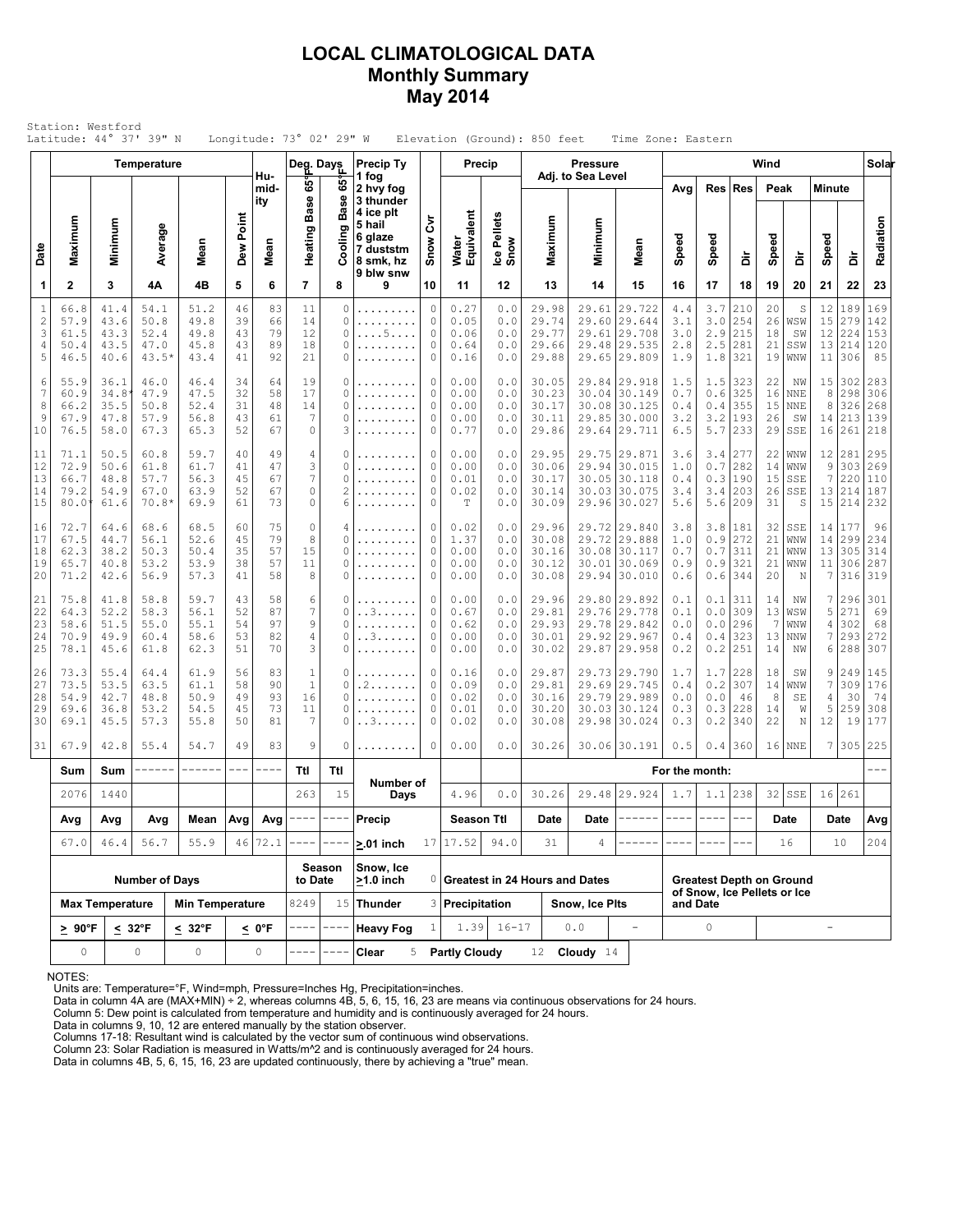### **LOCAL CLIMATOLOGICAL DATA Monthly Summary May 2014**

|                                           |                                      |                                      | <b>Temperature</b>                      |                                      |                            |                            | Deg. Days                                      |                           | <b>Precip Ty</b>                                                      |                             | Precip                               |                                   |                                           | <b>Pressure</b>                  |                                                                        |                                                                |                                 |                                 | Wind                       |                                             |                                                   |                                      | Solar                           |
|-------------------------------------------|--------------------------------------|--------------------------------------|-----------------------------------------|--------------------------------------|----------------------------|----------------------------|------------------------------------------------|---------------------------|-----------------------------------------------------------------------|-----------------------------|--------------------------------------|-----------------------------------|-------------------------------------------|----------------------------------|------------------------------------------------------------------------|----------------------------------------------------------------|---------------------------------|---------------------------------|----------------------------|---------------------------------------------|---------------------------------------------------|--------------------------------------|---------------------------------|
|                                           |                                      |                                      |                                         |                                      |                            | Hu-<br>mid-<br>ity         | န်း                                            | $65^\circ$<br><b>Base</b> | 1 fog<br>2 hvy fog<br>3 thunder                                       |                             |                                      |                                   |                                           | Adj. to Sea Level                |                                                                        | Avg                                                            | Res                             | Res                             | Peak                       |                                             | <b>Minute</b>                                     |                                      |                                 |
| Date                                      | Maximum                              | Minimum                              | Average                                 | Mean                                 | Dew Point                  | Mean                       | <b>Base</b><br>Heating                         | ත<br>š<br>ပ္ပိ            | 4 ice plt<br>5 hail<br>6 glaze<br>7 duststm<br>8 smk, hz<br>9 blw snw | ξ<br>Snow                   | Water<br>Equivalent                  | Ice Pellets<br>Snow               | Maximum                                   | Minimum                          | Mean                                                                   | Speed                                                          | Speed                           | à                               | Speed                      | å                                           | Speed                                             | å                                    | Radiation                       |
| 1                                         | $\mathbf{2}$                         | 3                                    | 4Α                                      | 4B                                   | 5                          | 6                          | $\overline{7}$                                 | 8                         | 9                                                                     | 10                          | 11                                   | 12                                | 13                                        | 14                               | 15                                                                     | 16                                                             | 17                              | 18                              | 19                         | 20                                          | 21                                                | 22                                   | 23                              |
| $\mathbf{1}$<br>$\sqrt{2}$<br>3<br>4<br>5 | 66.8<br>57.9<br>61.5<br>50.4<br>46.5 | 41.4<br>43.6<br>43.3<br>43.5<br>40.6 | 54.1<br>50.8<br>52.4<br>47.0<br>$43.5*$ | 51.2<br>49.8<br>49.8<br>45.8<br>43.4 | 46<br>39<br>43<br>43<br>41 | 83<br>66<br>79<br>89<br>92 | 11<br>14<br>12<br>18<br>21                     | 0<br>0<br>0<br>0<br>0     | .<br>.<br>. 5                                                         | 0<br>$\circ$<br>0<br>0<br>0 | 0.27<br>0.05<br>0.06<br>0.64<br>0.16 | 0.0<br>0.0<br>0.0<br>0.0<br>0.0   | 29.98<br>29.74<br>29.77<br>29.66<br>29.88 | 29.61<br>29.60                   | 29.722<br>29.644<br>29.61 29.708<br>29.48 29.535<br>29.65 29.809       | 4.4<br>3.1<br>3.0<br>2.8<br>1.9                                | 3.7<br>3.0<br>2.9<br>2.5<br>1.8 | 210<br>254<br>215<br>281<br>321 | 20<br>26<br>18<br>21<br>19 | S<br>WSW<br>SW<br>SSW<br>WNW                | 12<br>15<br>12<br>13<br>11                        | 189<br>279<br>224<br>214<br>306      | 169<br>142<br>153<br>120<br>85  |
| 6<br>$\overline{7}$<br>8<br>9<br>10       | 55.9<br>60.9<br>66.2<br>67.9<br>76.5 | 36.1<br>34.8<br>35.5<br>47.8<br>58.0 | 46.0<br>47.9<br>50.8<br>57.9<br>67.3    | 46.4<br>47.5<br>52.4<br>56.8<br>65.3 | 34<br>32<br>31<br>43<br>52 | 64<br>58<br>48<br>61<br>67 | 19<br>17<br>14<br>$\overline{7}$<br>0          | 0<br>0<br>0<br>0<br>3     | .<br>.                                                                | 0<br>0<br>0<br>0<br>0       | 0.00<br>0.00<br>0.00<br>0.00<br>0.77 | 0.0<br>0.0<br>0.0<br>0.0<br>0.0   | 30.05<br>30.23<br>30.17<br>30.11<br>29.86 | 30.04<br>29.85                   | 29.84 29.918<br>30.149<br>30.08 30.125<br>30.000<br>29.64 29.711       | 1.5<br>0.7<br>0.4<br>3.2<br>6.5                                | 1.5<br>0.6<br>0.4<br>3.2<br>5.7 | 323<br>325<br>355<br>193<br>233 | 22<br>16<br>15<br>26<br>29 | ΝW<br><b>NNE</b><br><b>NNE</b><br>SW<br>SSE | 15<br>8<br>8<br>14<br>16                          | 302<br>298<br>326<br>213<br>261      | 283<br>306<br>268<br>139<br>218 |
| 11<br>12<br>13<br>14<br>15                | 71.1<br>72.9<br>66.7<br>79.2<br>80.0 | 50.5<br>50.6<br>48.8<br>54.9<br>61.6 | 60.8<br>61.8<br>57.7<br>67.0<br>$70.8*$ | 59.7<br>61.7<br>56.3<br>63.9<br>69.9 | 40<br>41<br>45<br>52<br>61 | 49<br>47<br>67<br>67<br>73 | 4<br>3<br>$\boldsymbol{7}$<br>$\mathbb O$<br>0 | 0<br>0<br>0<br>2<br>6     | .<br>.<br>.                                                           | 0<br>0<br>0<br>0<br>0       | 0.00<br>0.00<br>0.01<br>0.02<br>т    | 0.0<br>0.0<br>0.0<br>0.0<br>0.0   | 29.95<br>30.06<br>30.17<br>30.14<br>30.09 | 29.96                            | 29.75 29.871<br>29.94 30.015<br>30.05 30.118<br>30.03 30.075<br>30.027 | 3.6<br>1.0<br>0.4<br>3.4<br>5.6                                | 3.4<br>0.7<br>0.3<br>3.4<br>5.6 | 277<br>282<br>190<br>203<br>209 | 22<br>14<br>15<br>26<br>31 | WNW<br>WNW<br>SSE<br>SSE<br>S               | 12<br>9<br>$\boldsymbol{7}$<br>13<br>15           | 281<br>303<br>220<br>214<br>214      | 295<br>269<br>110<br>187<br>232 |
| 16<br>17<br>18<br>19<br>20                | 72.7<br>67.5<br>62.3<br>65.7<br>71.2 | 64.6<br>44.7<br>38.2<br>40.8<br>42.6 | 68.6<br>56.1<br>50.3<br>53.2<br>56.9    | 68.5<br>52.6<br>50.4<br>53.9<br>57.3 | 60<br>45<br>35<br>38<br>41 | 75<br>79<br>57<br>57<br>58 | $\circ$<br>8<br>15<br>11<br>8                  | 4<br>0<br>0<br>0<br>0     | .<br>.                                                                | 0<br>0<br>0<br>0<br>0       | 0.02<br>1.37<br>0.00<br>0.00<br>0.00 | 0.0<br>0.0<br>0.0<br>0.0<br>0.0   | 29.96<br>30.08<br>30.16<br>30.12<br>30.08 | 29.72<br>30.01                   | 29.72 29.840<br>29.888<br>30.08 30.117<br>30.069<br>29.94 30.010       | 3.8<br>1.0<br>0.7<br>0.9<br>0.6                                | 3.8<br>0.9<br>0.7<br>0.9<br>0.6 | 181<br>272<br>311<br>321<br>344 | 32<br>21<br>21<br>21<br>20 | SSE<br>WNW<br>WNW<br>WNW<br>N               | 14<br>13<br>11<br>7                               | 14   177<br>299<br>305<br>306<br>316 | 96<br>234<br>314<br>287<br>319  |
| 21<br>22<br>23<br>24<br>25                | 75.8<br>64.3<br>58.6<br>70.9<br>78.1 | 41.8<br>52.2<br>51.5<br>49.9<br>45.6 | 58.8<br>58.3<br>55.0<br>60.4<br>61.8    | 59.7<br>56.1<br>55.1<br>58.6<br>62.3 | 43<br>52<br>54<br>53<br>51 | 58<br>87<br>97<br>82<br>70 | 6<br>$\overline{7}$<br>$\mathsf 9$<br>4<br>3   | 0<br>0<br>0<br>0<br>0     | . . 3<br>. . 3                                                        | 0<br>0<br>0<br>0<br>0       | 0.00<br>0.67<br>0.62<br>0.00<br>0.00 | 0.0<br>0.0<br>0.0<br>$0.0$<br>0.0 | 29.96<br>29.81<br>29.93<br>30.01<br>30.02 | 29.76<br>29.78<br>29.92<br>29.87 | 29.80 29.892<br>29.778<br>29.842<br>29.967<br>29.958                   | 0.1<br>0.1<br>0.0<br>0.4<br>0.2                                | 0.1<br>0.0<br>0.0<br>0.4<br>0.2 | 311<br>309<br>296<br>323<br>251 | 14<br>13<br>7<br>13<br>14  | ΝW<br>WSW<br>WNW<br><b>NNW</b><br>NW        | 7<br>5<br>4<br>7<br>6                             | 296<br>271<br>302<br>293<br>288      | 301<br>69<br>68<br>272<br>307   |
| 26<br>27<br>28<br>29<br>30                | 73.3<br>73.5<br>54.9<br>69.6<br>69.1 | 55.4<br>53.5<br>42.7<br>36.8<br>45.5 | 64.4<br>63.5<br>48.8<br>53.2<br>57.3    | 61.9<br>61.1<br>50.9<br>54.5<br>55.8 | 56<br>58<br>49<br>45<br>50 | 83<br>90<br>93<br>73<br>81 | $\mathbf 1$<br>$1\,$<br>16<br>11<br>7          | 0<br>0<br>0<br>0<br>0     | . 2<br>.<br>. . 3                                                     | 0<br>0<br>0<br>0<br>0       | 0.16<br>0.09<br>0.02<br>0.01<br>0.02 | 0.0<br>0.0<br>0.0<br>0.0<br>0.0   | 29.87<br>29.81<br>30.16<br>30.20<br>30.08 | 29.69<br>29.98                   | 29.73 29.790<br>29.745<br>29.79 29.989<br>30.03 30.124<br>30.024       | 1.7<br>0.4<br>0.0<br>0.3<br>0.3                                | 1.7<br>0.2<br>0.0<br>0.3<br>0.2 | 228<br>307<br>46<br>228<br>340  | 18<br>14<br>8<br>14<br>22  | SW<br>WNW<br>SE<br>W<br>Ν                   | 9<br>$7\phantom{.0}$<br>$\overline{4}$<br>5<br>12 | 249<br>309<br>30<br>259<br>19        | 145<br>176<br>74<br>308<br>177  |
| 31                                        | 67.9                                 | 42.8                                 | 55.4                                    | 54.7                                 | 49                         | 83                         | 9                                              | 0                         |                                                                       | 0                           | 0.00                                 | 0.0                               | 30.26                                     |                                  | 30.06 30.191                                                           | 0.5                                                            | 0.4                             | 360                             |                            | $16$ NNE                                    | 7                                                 | 305                                  | 225                             |
|                                           | Sum                                  | Sum                                  |                                         | ------                               | $\qquad \qquad - -$        | ----                       | Ttl                                            | Ttl                       | Number of                                                             |                             |                                      |                                   |                                           |                                  |                                                                        | For the month:                                                 |                                 |                                 |                            |                                             |                                                   |                                      |                                 |
|                                           | 2076                                 | 1440                                 |                                         |                                      |                            |                            | 263                                            | 15                        | Days                                                                  |                             | 4.96                                 | 0.0                               | 30.26                                     |                                  | 29.48 29.924                                                           | 1.7                                                            | 1.1                             | 238                             |                            | $32$ SSE                                    |                                                   | 16 261                               |                                 |
|                                           | Avg                                  | Avg                                  | Avg                                     | Mean                                 |                            | $Avg$ Avg                  | $- - - - -$                                    | ----                      | Precip                                                                |                             | Season Ttl                           |                                   | Date                                      | Date                             | ------                                                                 | ----                                                           | $\frac{1}{2}$                   | $- - -$                         |                            | Date                                        |                                                   | Date                                 | Avg                             |
|                                           | 67.0                                 | 46.4                                 | 56.7                                    | 55.9                                 |                            | 46 72.1                    |                                                | Season                    | $>0.01$ inch<br>Snow, Ice                                             |                             | 17 17.52                             | 94.0                              | 31                                        | 4                                |                                                                        |                                                                |                                 |                                 |                            | 16                                          |                                                   | 10                                   | 204                             |
|                                           |                                      |                                      | <b>Number of Days</b>                   |                                      |                            |                            | to Date                                        |                           | $\geq 1.0$ inch                                                       |                             |                                      |                                   | 0 Greatest in 24 Hours and Dates          |                                  |                                                                        | <b>Greatest Depth on Ground</b><br>of Snow, Ice Pellets or Ice |                                 |                                 |                            |                                             |                                                   |                                      |                                 |
|                                           |                                      | <b>Max Temperature</b>               |                                         | <b>Min Temperature</b>               |                            |                            | 8249                                           |                           | 15 Thunder                                                            |                             | 3 Precipitation                      |                                   |                                           | Snow, Ice Plts                   | $\equiv$                                                               | and Date                                                       |                                 |                                 |                            |                                             |                                                   |                                      |                                 |
|                                           | $\geq 90^{\circ}$ F                  |                                      | $\leq 32^{\circ}F$                      | $\leq 32^{\circ}F$                   |                            | < 0°F                      |                                                |                           | <b>Heavy Fog</b>                                                      |                             | 1.39                                 | $16 - 17$                         |                                           | 0.0                              |                                                                        |                                                                | $\circ$                         |                                 |                            |                                             | $\overline{\phantom{a}}$                          |                                      |                                 |

NOTES:

Units are: Temperature=°F, Wind=mph, Pressure=Inches Hg, Precipitation=inches. Data in column 4A are (MAX+MIN) ÷ 2, whereas columns 4B, 5, 6, 15, 16, 23 are means via continuous observations for 24 hours.

Column 5: Dew point is calculated from temperature and humidity and is continuously averaged for 24 hours. Data in columns 9, 10, 12 are entered manually by the station observer.

Columns 17-18: Resultant wind is calculated by the vector sum of continuous wind observations.<br>Column 23: Solar Radiation is measured in Watts/m^2 and is continuously averaged for 24 hours.<br>Data in columns 4B, 5, 6, 15, 16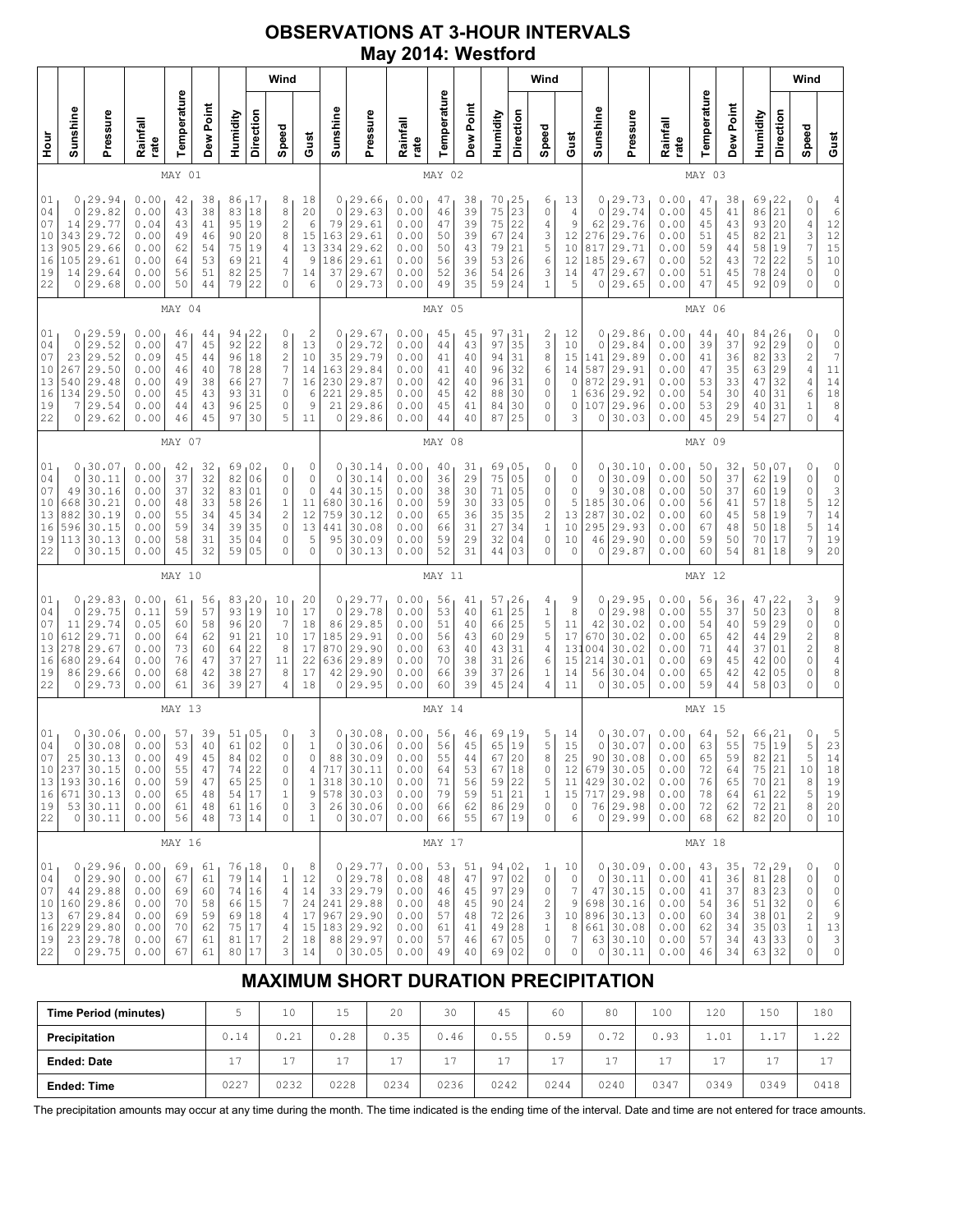## **OBSERVATIONS AT 3-HOUR INTERVALS May 2014: Westford**

|                                                                                                        |                                                                                           |                                                              |                                              |                                              |                                                                   | Wind                                           |                                                                                                    |                                                                                                 |                                                     |                                                                                      |                                                              |                                              |                                              |                                                        | Wind                                                       |                                                                                                        |                                                              |                                                |                                                                                                 |                                                              |                                              |                                              |                                                                       | Wind                                               |                                                                                                                                                                 |                                                                                               |
|--------------------------------------------------------------------------------------------------------|-------------------------------------------------------------------------------------------|--------------------------------------------------------------|----------------------------------------------|----------------------------------------------|-------------------------------------------------------------------|------------------------------------------------|----------------------------------------------------------------------------------------------------|-------------------------------------------------------------------------------------------------|-----------------------------------------------------|--------------------------------------------------------------------------------------|--------------------------------------------------------------|----------------------------------------------|----------------------------------------------|--------------------------------------------------------|------------------------------------------------------------|--------------------------------------------------------------------------------------------------------|--------------------------------------------------------------|------------------------------------------------|-------------------------------------------------------------------------------------------------|--------------------------------------------------------------|----------------------------------------------|----------------------------------------------|-----------------------------------------------------------------------|----------------------------------------------------|-----------------------------------------------------------------------------------------------------------------------------------------------------------------|-----------------------------------------------------------------------------------------------|
| Sunshine                                                                                               | Pressure                                                                                  | Rainfall<br>rate                                             | Temperature                                  | Dew Point                                    | Humidity                                                          | Direction                                      | Speed                                                                                              | Gust                                                                                            | Sunshine                                            | Pressure                                                                             | Rainfall<br>rate                                             | Temperature                                  | Dew Point                                    | Humidity                                               | Direction                                                  | Speed                                                                                                  | Gust                                                         | Sunshine                                       | Pressure                                                                                        | Rainfall<br>rate                                             | Temperature                                  | Dew Point                                    | Humidity                                                              | Direction                                          | Speed                                                                                                                                                           | Gust                                                                                          |
|                                                                                                        |                                                                                           |                                                              | MAY 01                                       |                                              |                                                                   |                                                |                                                                                                    |                                                                                                 |                                                     |                                                                                      |                                                              | MAY 02                                       |                                              |                                                        |                                                            |                                                                                                        |                                                              |                                                |                                                                                                 |                                                              | MAY 03                                       |                                              |                                                                       |                                                    |                                                                                                                                                                 |                                                                                               |
| 0<br>$\mathbf 0$<br>14<br>343<br>905<br>105<br>14<br>0                                                 | 29.94<br>29.82<br>29.77<br>29.72<br>29.66<br>29.61<br>29.64<br>29.68                      | 0.00<br>0.00<br>0.04<br>0.00<br>0.00<br>0.00<br>0.00<br>0.00 | 42<br>43<br>43<br>49<br>62<br>64<br>56<br>50 | 38<br>38<br>41<br>46<br>54<br>53<br>51<br>44 | 86<br>83<br>95<br>90<br>75<br>69<br>82<br>79                      | 17  <br>18<br>19<br>20<br>19<br>21<br>25<br>22 | 8<br>8<br>$\overline{c}$<br>8<br>4<br>4<br>$\boldsymbol{7}$<br>0                                   | 18<br>20<br>6<br>15<br>13<br>9<br>14<br>6                                                       | $\circ$<br>79<br>163<br>334<br>186<br>37<br>0       | 0, 29.66<br>29.63<br>29.61<br>29.61<br>29.62<br>29.61<br>29.67<br>29.73              | 0.00<br>0.00<br>0.00<br>0.00<br>0.00<br>0.00<br>0.00<br>0.00 | 47<br>46<br>47<br>50<br>50<br>56<br>52<br>49 | 38<br>39<br>39<br>39<br>43<br>39<br>36<br>35 | 70<br>75<br>75<br>67<br>79<br>53<br>54<br>59           | 125<br>23<br>22<br>24<br>21<br>26<br>26<br>24              | 6<br>0<br>4<br>3<br>5<br>6<br>3<br>1                                                                   | 13<br>$\sqrt{4}$<br>9<br>12<br>10<br>12<br>14<br>5           | 0<br>0<br>62<br>276<br>817<br>185<br>47<br>0   | 29.73<br>29.74<br>29.76<br>29.76<br>29.71<br>29.67<br>29.67<br>29.65                            | 0.00<br>0.00<br>0.00<br>0.00<br>0.00<br>0.00<br>0.00<br>0.00 | 47<br>45<br>45<br>51<br>59<br>52<br>51<br>47 | 38<br>41<br>43<br>45<br>44<br>43<br>45<br>45 | 69<br>86<br>93<br>82<br>58<br>72<br>78<br>92                          | 122<br>21<br>20<br>21<br>19<br>22<br>24<br>09      | 0<br>$\circ$<br>$\sqrt{4}$<br>3<br>$\overline{7}$<br>5<br>0<br>$\Omega$                                                                                         | $\frac{4}{6}$<br>12<br>12<br>15<br>$10$<br>$\circ$<br>$\circ$                                 |
|                                                                                                        |                                                                                           |                                                              | MAY 04                                       |                                              |                                                                   |                                                |                                                                                                    |                                                                                                 |                                                     |                                                                                      |                                                              | MAY 05                                       |                                              |                                                        |                                                            |                                                                                                        |                                                              |                                                |                                                                                                 |                                                              | MAY 06                                       |                                              |                                                                       |                                                    |                                                                                                                                                                 |                                                                                               |
| 0<br>01<br>04<br>0<br>07<br>23<br>10<br>267<br>13<br>540<br>16<br>134<br>7<br>19<br>22<br>0            | 29.59<br>29.52<br>29.52<br>29.50<br>29.48<br>29.50<br>29.54<br>29.62                      | 0.00<br>0.00<br>0.09<br>0.00<br>0.00<br>0.00<br>0.00<br>0.00 | 46<br>47<br>45<br>46<br>49<br>45<br>44<br>46 | 44<br>45<br>44<br>40<br>38<br>43<br>43<br>45 | 94<br>92<br>96<br>78<br>66<br>93<br>96<br>97                      | 22<br>22<br>18<br>28<br>27<br>31<br>25<br>30   | 0<br>8<br>$\overline{c}$<br>$\overline{7}$<br>$\boldsymbol{7}$<br>$\circ$<br>0<br>5                | $\overline{\mathbf{c}}$<br>13<br>10<br>14<br>16<br>6<br>9<br>11                                 | $\circ$<br>35<br>163<br>230<br>221<br>21<br>$\circ$ | 0, 29.67<br>29.72<br>29.79<br>29.84<br>29.87<br>29.85<br>29.86<br>29.86              | 0.00<br>0.00<br>0.00<br>0.00<br>0.00<br>0.00<br>0.00<br>0.00 | 45<br>44<br>41<br>41<br>42<br>45<br>45<br>44 | 45<br>43<br>40<br>40<br>40<br>42<br>41<br>40 | 97<br>97<br>94<br>96<br>96<br>88<br>84<br>87           | 31<br>35<br>31<br>32<br>31<br>30<br>30<br>25               | 2<br>3<br>8<br>6<br>0<br>0<br>0<br>0                                                                   | 12<br>10<br>15<br>14<br>$\mathbb O$<br>$\mathbf 1$<br>0<br>3 | 0<br>0<br>141<br>587<br>872<br>636<br>107<br>0 | 29.86<br>29.84<br>29.89<br>29.91<br>29.91<br>29.92<br>29.96<br>30.03                            | 0.00<br>0.00<br>0.00<br>0.00<br>0.00<br>0.00<br>0.00<br>0.00 | 44<br>39<br>41<br>47<br>53<br>54<br>53<br>45 | 40<br>37<br>36<br>35<br>33<br>30<br>29<br>29 | 84, 26<br>92<br>82<br>63<br>47<br>40<br>40<br>54                      | 29<br>33<br>29<br>32<br>31<br>31<br>27             | 0<br>$\mathbb O$<br>$\overline{\mathbf{c}}$<br>$\sqrt{4}$<br>$\overline{4}$<br>$\epsilon$<br>$\mathbf 1$<br>$\circ$                                             | 0<br>0<br>$\boldsymbol{7}$<br>11<br>$1\,4$<br>$1\,8$<br>$\begin{array}{c} 8 \\ 4 \end{array}$ |
|                                                                                                        | MAY 07                                                                                    |                                                              |                                              |                                              |                                                                   |                                                |                                                                                                    |                                                                                                 |                                                     |                                                                                      |                                                              | MAY 08                                       |                                              |                                                        |                                                            |                                                                                                        |                                                              |                                                |                                                                                                 |                                                              | MAY 09                                       |                                              |                                                                       |                                                    |                                                                                                                                                                 |                                                                                               |
| 01<br>0<br>0<br>04<br>07<br>49<br>10<br>668<br>13<br>882<br>16<br>596<br>19<br>113<br>22<br>0          | 30.07<br>30.11<br>30.16<br>30.21<br>30.19<br>30.15<br>30.13<br>30.15                      | 0.00<br>0.00<br>0.00<br>0.00<br>0.00<br>0.00<br>0.00<br>0.00 | 42<br>37<br>37<br>48<br>55<br>59<br>58<br>45 | 32<br>32<br>32<br>33<br>34<br>34<br>31<br>32 | 69<br>82<br>83<br>58<br>45<br>39<br>35<br>59                      | 02<br>06<br>01<br>26<br>34<br>35<br>04<br>05   | 0<br>$\circ$<br>$\circ$<br>$1\,$<br>$\overline{c}$<br>$\circ$<br>$\circ$<br>$\mathbf 0$            | 0<br>0<br>$\circ$<br>11<br>12<br>13<br>5<br>$\Omega$                                            | 0<br>$\circ$<br>44<br>680<br>759<br>441<br>95<br>0  | 30.14<br>30.14<br>30.15<br>30.16<br>30.12<br>30.08<br>30.09<br>30.13                 | 0.00<br>0.00<br>0.00<br>0.00<br>0.00<br>0.00<br>0.00<br>0.00 | 40<br>36<br>38<br>59<br>65<br>66<br>59<br>52 | 31<br>29<br>30<br>30<br>36<br>31<br>29<br>31 | 69<br>75<br>71<br>33<br>35<br>27<br>32<br>44           | 05 ن<br>05<br>05<br>0 <sub>5</sub><br>35<br>34<br>04<br>03 | 0<br>0<br>0<br>0<br>$\sqrt{2}$<br>$1\,$<br>0<br>0                                                      | 0<br>0<br>0<br>5<br>13<br>10<br>10<br>0                      | 0<br>0<br>9<br>185<br>287<br>295<br>46<br>0    | 30.10<br>30.09<br>30.08<br>30.06<br>30.02<br>29.93<br>29.90<br>29.87                            | 0.00<br>0.00<br>0.00<br>0.00<br>0.00<br>0.00<br>0.00<br>0.00 | 50<br>50<br>50<br>56<br>60<br>67<br>59<br>60 | 32<br>37<br>37<br>41<br>45<br>48<br>50<br>54 | 50<br>62<br>60<br>57<br>58<br>50<br>70<br>81                          | 07 ن<br>19<br>19<br>18<br>19<br>18<br>17<br>18     | 0<br>0<br>$\mathbb O$<br>5<br>$\overline{7}$<br>5<br>$\overline{7}$<br>9                                                                                        | 0<br>$\begin{array}{c} 0 \\ 3 \\ 12 \end{array}$<br>14<br>14<br>19<br>20                      |
|                                                                                                        |                                                                                           |                                                              | MAY 10                                       |                                              |                                                                   |                                                |                                                                                                    |                                                                                                 |                                                     |                                                                                      |                                                              | MAY 11                                       |                                              |                                                        |                                                            |                                                                                                        |                                                              |                                                |                                                                                                 |                                                              | MAY 12                                       |                                              |                                                                       |                                                    |                                                                                                                                                                 |                                                                                               |
| 01<br>0<br>04<br>$\mathbf 0$<br>07<br>11<br>10<br>612<br>13<br>278<br>16<br>680<br>19<br>86<br>22<br>0 | 29.83<br>29.75<br>29.74<br>29.71<br>29.67<br>29.64<br>29.66<br>29.73                      | 0.00<br>0.11<br>0.05<br>0.00<br>0.00<br>0.00<br>0.00<br>0.00 | 61<br>59<br>60<br>64<br>73<br>76<br>68<br>61 | 56<br>57<br>58<br>62<br>60<br>47<br>42<br>36 | 83<br>93<br>96<br>91<br>64<br>37<br>38<br>39                      | 20<br>19<br>20<br>21<br>22<br>27<br>27<br>27   | 10<br>10<br>7<br>10<br>8<br>11<br>8<br>4                                                           | 20<br>17<br>18<br>17<br>17<br>22<br>17<br>18                                                    | $\circ$<br>86<br>185<br>870<br>636<br>42<br>0       | 0, 29.77<br>29.78<br>29.85<br>29.91<br>29.90<br>29.89<br>29.90<br>29.95              | 0.00<br>0.00<br>0.00<br>0.00<br>0.00<br>0.00<br>0.00<br>0.00 | 56<br>53<br>51<br>56<br>63<br>70<br>66<br>60 | 41<br>40<br>40<br>43<br>40<br>38<br>39<br>39 | 57<br>61<br>66<br>60<br>43<br>31<br>37<br>45           | 26<br>25<br>25<br>29<br>31<br>26<br>26<br>24               | 4<br>$\,1$<br>5<br>$\mathsf S$<br>$\sqrt{4}$<br>6<br>$\mathbf{1}$<br>4                                 | 9<br>8<br>11<br>17<br>13<br>15<br>14<br>11                   | 0<br>0<br>42<br>670<br>004<br>214<br>56<br>0   | 129.95<br>29.98<br>30.02<br>30.02<br>30.02<br>30.01<br>30.04<br>30.05                           | 0.00<br>0.00<br>0.00<br>0.00<br>0.00<br>0.00<br>0.00<br>0.00 | 56<br>55<br>54<br>65<br>71<br>69<br>65<br>59 | 36<br>37<br>40<br>42<br>44<br>45<br>42<br>44 | 47,22<br>50<br>59<br>44<br>37<br>42<br>42<br>58                       | 23<br>29<br>29<br>01<br>0 <sub>0</sub><br>05<br>03 | 3<br>$\mathbb O$<br>$\mathsf O$<br>$\overline{c}$<br>$\overline{c}$<br>$\mathsf{O}\xspace$<br>0<br>0                                                            | 9<br>8<br>0<br>8<br>8<br>$\overline{4}$<br>8<br>0                                             |
|                                                                                                        |                                                                                           |                                                              | MAY 13                                       |                                              |                                                                   |                                                |                                                                                                    |                                                                                                 |                                                     |                                                                                      |                                                              | MAY 14                                       |                                              |                                                        |                                                            |                                                                                                        |                                                              |                                                |                                                                                                 |                                                              | MAY 15                                       |                                              |                                                                       |                                                    |                                                                                                                                                                 |                                                                                               |
| 01<br>0<br>0<br>04<br>07<br>25<br>10<br>237<br>13<br>16<br>19<br>22                                    | 30.06<br>30.08<br>30.13<br>30.15<br>193 30.16<br>671 30.13<br>53 30.11<br>0 30.11         | 0.00<br>0.00<br>0.00<br>0.00<br>0.00<br>0.00<br>0.00<br>0.00 | 57<br>53<br>49<br>55<br>59<br>65<br>61<br>56 | 39<br>40<br>45<br>47<br>47<br>48<br>48<br>48 | 51,05<br>61<br>84<br>74<br>65<br>54 17<br>61 16<br>73 14          | 02<br>02<br>22<br>25                           | 0<br>$\mathbb O$<br>$\mathsf{O}\xspace$<br>0<br>$\mathbb O$<br>$\,1$<br>$\mathbb O$<br>$\mathbf 0$ | 3<br>$\mathbf 1$<br>$\circ$<br>4<br>$\mathbf{1}$<br>$\,9$<br>$\ensuremath{\mathsf{3}}$<br>$1\,$ | $\circ$<br>88<br>717                                | 0, 30.08<br>30.06<br>30.09<br>30.11<br>318 30.10<br>578 30.03<br>26 30.06<br>0 30.07 | 0.00<br>0.00<br>0.00<br>0.00<br>0.00<br>0.00<br>0.00<br>0.00 | 56<br>56<br>55<br>64<br>71<br>79<br>66<br>66 | 46<br>45<br>44<br>53<br>56<br>59<br>62<br>55 | 69<br>65<br>67<br>67<br>59<br>$5\,1$<br>86 29<br>67 19 | 19 ا<br>19<br>20<br>18<br>22<br>21                         | 5<br>5<br>8<br>0<br>5<br>$\mathbf 1$<br>$\mathbb O$<br>0                                               | 14<br>15<br>25<br>12<br>11<br>$\circ$<br>6                   | 0<br>0<br>90<br>679                            | 130.07<br>30.07<br>30.08<br>30.05<br>429 30.02<br>15 717 29.98<br>76 29.98<br>0 29.99           | 0.00<br>0.00<br>0.00<br>0.00<br>0.00<br>0.00<br>0.00<br>0.00 | 64<br>63<br>65<br>72<br>76<br>78<br>72<br>68 | 52<br>55<br>59<br>64<br>65<br>64<br>62<br>62 | 66,21<br>75<br>82<br>75<br>70 21<br>$61 \mid 22$<br>72 21<br>82 20    | 19<br>21<br>21                                     | 0<br>5<br>5<br>10<br>8<br>$\mathsf S$<br>8<br>0                                                                                                                 | $\frac{5}{23}$<br>14<br>18<br>19<br>19<br>20<br>10                                            |
|                                                                                                        |                                                                                           |                                                              | MAY 16                                       |                                              |                                                                   |                                                |                                                                                                    |                                                                                                 |                                                     |                                                                                      |                                                              | MAY 17                                       |                                              |                                                        |                                                            |                                                                                                        |                                                              |                                                |                                                                                                 |                                                              | MAY 18                                       |                                              |                                                                       |                                                    |                                                                                                                                                                 |                                                                                               |
| 01<br>04<br>$\circ$<br>07<br>44 <br>10<br>13<br>16<br>19<br>22                                         | 0, 29.96<br>29.90<br>29.88<br>160 29.86<br>67 29.84<br>$229$ 29.80<br>23 29.78<br>0 29.75 | 0.00<br>0.00<br>0.00<br>0.00<br>0.00<br>0.00<br>0.00<br>0.00 | 69<br>67<br>69<br>70<br>69<br>70<br>67<br>67 | 61<br>61<br>60<br>58<br>59<br>62<br>61<br>61 | 76,18<br>79 14<br>74 16<br>66 15<br>69 18<br>75<br>81 17<br>80 17 | 17                                             | 0<br>$\,1$<br>$\overline{4}$<br>7<br>4<br>4<br>$\sqrt{2}$<br>3                                     | 8<br>12<br>14<br>24<br>17<br>15<br>18<br>14                                                     | 0<br>183 29.92                                      | 0, 29.77<br>29.78<br>33 29.79<br>241 29.88<br>967 29.90<br>88 29.97<br>0 30.05       | 0.00<br>0.08<br>0.00<br>0.00<br>0.00<br>0.00<br>0.00<br>0.00 | 53<br>48<br>46<br>48<br>57<br>61<br>57<br>49 | 51<br>47<br>45<br>45<br>48<br>41<br>46<br>40 | 94,02<br>97<br>97<br>90<br>72<br>49<br>67<br>69        | 02<br> 29<br> 24<br>26<br>28<br>05<br> 02                  | 1<br>0<br>$\mathbb O$<br>$\overline{\mathbf{c}}$<br>$\ensuremath{\mathsf{3}}$<br>$\mathbf 1$<br>0<br>0 | 10<br>$\circ$<br>7<br>9<br>8<br>7<br>0                       | 0                                              | 0, 30.09<br> 30.11<br>47 30.15<br>698 30.16<br>10 896 30.13<br>661 30.08<br>63 30.10<br>0 30.11 | 0.00<br>0.00<br>0.00<br>0.00<br>0.00<br>0.00<br>0.00<br>0.00 | 43<br>41<br>41<br>54<br>60<br>62<br>57<br>46 | 35<br>36<br>37<br>36<br>34<br>34<br>34<br>34 | 72, 29<br>81 28<br>83 23<br>51 32<br>38 01<br>35 03<br>43 33<br>63 32 |                                                    | 0<br>0<br>0<br>0<br>$\mathfrak{2}% _{T}=\mathfrak{2}_{T}\!\left( a,b\right) ,\ \mathfrak{2}_{T}=\mathfrak{2}_{T}\!\left( a,b\right) ,$<br>$\mathbf 1$<br>0<br>0 | 0<br>$\mathbb O$<br>$\mathbb O$<br>6<br>$\mathsf 9$<br>$13$<br>$\frac{3}{0}$                  |

# **MAXIMUM SHORT DURATION PRECIPITATION**

| <b>Time Period (minutes)</b> |      | 10   | 15   | 20   | 30             | 45               | 60   | 80        | 100  | 120  | 150                | 180  |
|------------------------------|------|------|------|------|----------------|------------------|------|-----------|------|------|--------------------|------|
| Precipitation                | 0.14 | 0.21 | 0.28 | 0.35 | 0.46           | 0.55             | 0.59 | フク<br>0.7 | 0.93 | 1.01 | $-1$<br><b>1.L</b> | 1.22 |
| <b>Ended: Date</b>           | 17   | 17   | 17   | 17   | 17<br><b>.</b> | $-1$<br><b>.</b> | $-$  | 17<br>∸   | 17   | 17   | $-$                | 17   |
| <b>Ended: Time</b>           | 0227 | 0232 | 0228 | 0234 | 0236           | 0242             | 0244 | 0240      | 0347 | 0349 | 0349               | 0418 |

The precipitation amounts may occur at any time during the month. The time indicated is the ending time of the interval. Date and time are not entered for trace amounts.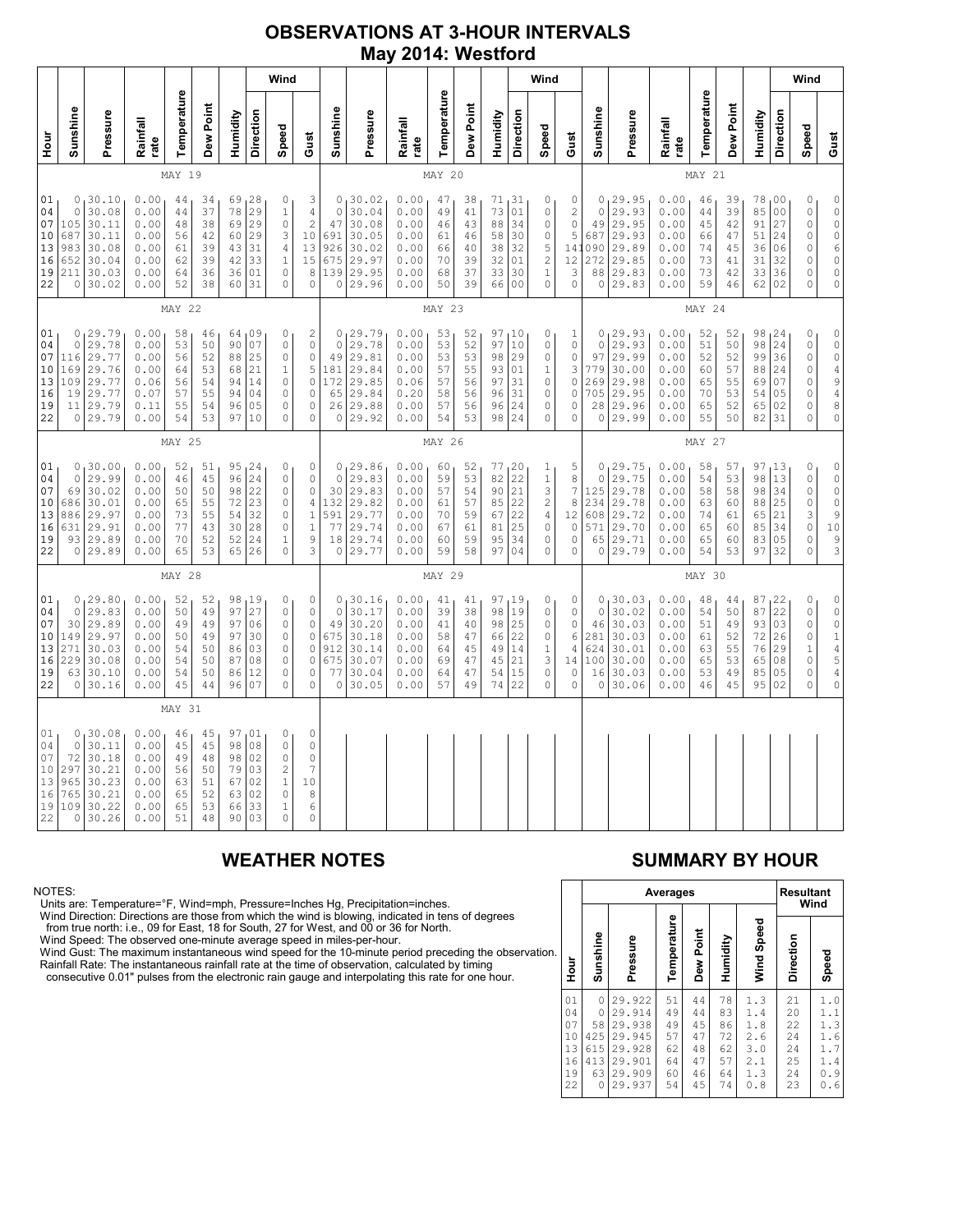### **OBSERVATIONS AT 3-HOUR INTERVALS May 2014: Westford**

|                                              |                                                           |                                                                              |                                                              |                                              |                                              |                                              |                                                 | Wind                                                                                                |                                                                                            |                                                                |                                                                                |                                                              |                                              |                                              |                                                 |                                                           | Wind                                                                                           |                                                        |                                                              |                                                                       |                                                              |                                              |                                              |                                              |                                                          | Wind                                                            |                                                                                                                                       |
|----------------------------------------------|-----------------------------------------------------------|------------------------------------------------------------------------------|--------------------------------------------------------------|----------------------------------------------|----------------------------------------------|----------------------------------------------|-------------------------------------------------|-----------------------------------------------------------------------------------------------------|--------------------------------------------------------------------------------------------|----------------------------------------------------------------|--------------------------------------------------------------------------------|--------------------------------------------------------------|----------------------------------------------|----------------------------------------------|-------------------------------------------------|-----------------------------------------------------------|------------------------------------------------------------------------------------------------|--------------------------------------------------------|--------------------------------------------------------------|-----------------------------------------------------------------------|--------------------------------------------------------------|----------------------------------------------|----------------------------------------------|----------------------------------------------|----------------------------------------------------------|-----------------------------------------------------------------|---------------------------------------------------------------------------------------------------------------------------------------|
| 날<br>모                                       | Sunshine                                                  | Pressure                                                                     | Rainfall<br>rate                                             | Temperature                                  | Dew Point                                    | Humidity                                     | Direction                                       | Speed                                                                                               | Gust                                                                                       | Sunshine                                                       | Pressure                                                                       | Rainfall<br>rate                                             | Temperature                                  | Dew Point                                    | Humidity                                        | Direction                                                 | Speed                                                                                          | Gust                                                   | Sunshine                                                     | Pressure                                                              | Rainfall<br>rate                                             | Temperature                                  | Dew Point                                    | Humidity                                     | Direction                                                | Speed                                                           | Gust                                                                                                                                  |
|                                              |                                                           |                                                                              |                                                              | MAY 19                                       |                                              |                                              |                                                 |                                                                                                     |                                                                                            |                                                                |                                                                                |                                                              | MAY 20                                       |                                              |                                                 |                                                           |                                                                                                |                                                        | MAY 21                                                       |                                                                       |                                                              |                                              |                                              |                                              |                                                          |                                                                 |                                                                                                                                       |
| 01<br>04<br>07<br>10<br>13<br>16<br>19<br>22 | 0<br>$\mathsf{O}$<br>105<br>687<br>983<br>652<br>211      | 30.10<br>30.08<br>30.11<br>30.11<br>30.08<br>30.04<br>30.03<br>0 30.02       | 0.00<br>0.00<br>0.00<br>0.00<br>0.00<br>0.00<br>0.00<br>0.00 | 44<br>44<br>48<br>56<br>61<br>62<br>64<br>52 | 34<br>37<br>38<br>42<br>39<br>39<br>36<br>38 | 69<br>78<br>69<br>60<br>43<br>42<br>36<br>60 | 28<br>29<br>29<br>29<br>31<br>33<br>01<br>31    | $\mathbb O$<br>$\,1\,$<br>$\mathbb O$<br>3<br>$\sqrt{4}$<br>$\mathbf 1$<br>$\circ$<br>$\mathbf 0$   | 3<br>4<br>$\overline{\mathbf{c}}$<br>10<br>13<br>15<br>8<br>0                              | 0<br>$\mathbb O$<br>47<br>691<br>926<br>675<br>139<br>0        | 30.02<br>30.04<br>30.08<br>30.05<br>30.02<br>29.97<br>29.95<br>29.96           | 0.00<br>0.00<br>0.00<br>0.00<br>0.00<br>0.00<br>0.00<br>0.00 | 47<br>49<br>46<br>61<br>66<br>70<br>68<br>50 | 38<br>41<br>43<br>46<br>40<br>39<br>37<br>39 | 71<br>73<br>88<br>58<br>38<br>32<br>33<br>66    | 131<br>01<br>34<br>30<br>32<br>01<br>30<br>0 <sup>0</sup> | 0<br>$\mathbb O$<br>$\mathbb O$<br>$\circ$<br>$\mathbf 5$<br>$\sqrt{2}$<br>$\,1$<br>$\circ$    | 0<br>$\mathbf{2}$<br>0<br>5<br>141<br>12<br>3<br>0     | $\circ$<br>$\mathbb O$<br>49<br>687<br>090<br>272<br>88<br>0 | 29.95<br>29.93<br>29.95<br>29.93<br>29.89<br>29.85<br>29.83<br>29.83  | 0.00<br>0.00<br>0.00<br>0.00<br>0.00<br>0.00<br>0.00<br>0.00 | 46<br>44<br>45<br>66<br>74<br>73<br>73<br>59 | 39<br>39<br>42<br>47<br>45<br>41<br>42<br>46 | 78<br>85<br>91<br>51<br>36<br>31<br>33<br>62 | 00<br>0 <sub>0</sub><br>27<br>24<br>06<br>32<br>36<br>02 | 0<br>$\mathbb O$<br>0<br>0<br>0<br>0<br>0<br>0                  | $\mathbb O$<br>$\mathbb O$<br>$\mathbb O$<br>$\circ$<br>$\overline{6}$<br>$\mathbb O$<br>$\mathsf O$<br>$\circ$                       |
|                                              |                                                           |                                                                              |                                                              | <b>MAY 22</b>                                |                                              |                                              |                                                 |                                                                                                     |                                                                                            | MAY 23                                                         |                                                                                |                                                              |                                              |                                              |                                                 |                                                           |                                                                                                |                                                        |                                                              |                                                                       | MAY 24                                                       |                                              |                                              |                                              |                                                          |                                                                 |                                                                                                                                       |
| 01<br>04<br>07<br>10<br>13<br>16<br>19<br>22 | $\circ$<br>116<br>169<br>109<br>19                        | 0, 29.79<br>29.78<br>29.77<br>29.76<br>29.77<br>29.77<br>11 29.79<br>0 29.79 | 0.00<br>0.00<br>0.00<br>0.00<br>0.06<br>0.07<br>0.11<br>0.00 | 58<br>53<br>56<br>64<br>56<br>57<br>55<br>54 | 46<br>50<br>52<br>53<br>54<br>55<br>54<br>53 | 64<br>90<br>88<br>68<br>94<br>94<br>96<br>97 | 109<br>07<br>25<br>21<br>14<br>04<br>05<br>10   | 0<br>$\mathsf{O}\xspace$<br>$\circ$<br>$\mathbf 1$<br>$\circ$<br>$\mathbb O$<br>$\circ$<br>$\Omega$ | $\overline{\mathbf{c}}$<br>0<br>$\mathbb O$<br>5<br>$\mathbb O$<br>$\circ$<br>$\circ$<br>0 | $\circ$<br>49<br>181<br>65<br>0                                | 0, 29.79<br>29.78<br>29.81<br>29.84<br>172 29.85<br>29.84<br>26 29.88<br>29.92 | 0.00<br>0.00<br>0.00<br>0.00<br>0.06<br>0.20<br>0.00<br>0.00 | 53<br>53<br>53<br>57<br>57<br>58<br>57<br>54 | 52<br>52<br>53<br>55<br>56<br>56<br>56<br>53 | 97,10<br>97<br>98<br>93<br>97<br>96<br>96<br>98 | 10<br>29<br>01<br>31<br>31<br>24<br>24                    | 0<br>$\circ$<br>$\circ$<br>$\mathbf{1}$<br>$\mathbb O$<br>0<br>$\mathbb O$<br>$\Omega$         | 1<br>0<br>0<br>3<br>$\mathsf{O}\xspace$<br>0<br>0<br>0 | 0<br>$\circ$<br>97<br>779<br>269<br>705<br>28<br>0           | 129.93<br>29.93<br>29.99<br>30.00<br>29.98<br>29.95<br>29.96<br>29.99 | 0.00<br>0.00<br>0.00<br>0.00<br>0.00<br>0.00<br>0.00<br>0.00 | 52<br>51<br>52<br>60<br>65<br>70<br>65<br>55 | 52<br>50<br>52<br>57<br>55<br>53<br>52<br>50 | 98<br>98<br>99<br>88<br>69<br>54<br>65<br>82 | 124<br>24<br>36<br>24<br>07<br>05<br>02<br>31            | 0<br>$\mathbb O$<br>0<br>0<br>$\mathbb O$<br>0<br>0<br>$\Omega$ | $\mathbb O$<br>$\mathbb O$<br>$\mathbb O$<br>$\sqrt{4}$<br>$\mathsf{S}$<br>$\sqrt{4}$<br>8<br>$\circ$                                 |
|                                              | MAY 25                                                    |                                                                              |                                                              |                                              |                                              |                                              |                                                 |                                                                                                     |                                                                                            |                                                                | MAY 26                                                                         |                                                              |                                              |                                              |                                                 |                                                           |                                                                                                |                                                        |                                                              | MAY 27                                                                |                                                              |                                              |                                              |                                              |                                                          |                                                                 |                                                                                                                                       |
| 01<br>04<br>07<br>10<br>13<br>16<br>19<br>22 | 0<br>0<br>69<br>686<br>886<br>631<br>93                   | , 30.00<br>29.99<br>30.02<br>30.01<br>29.97<br>29.91<br>29.89<br>0 29.89     | 0.00<br>0.00<br>0.00<br>0.00<br>0.00<br>0.00<br>0.00<br>0.00 | 52<br>46<br>50<br>65<br>73<br>77<br>70<br>65 | 51<br>45<br>50<br>55<br>55<br>43<br>52<br>53 | 95<br>96<br>98<br>$72\,$<br>54<br>30<br>52   | 24<br>24<br>22<br>23<br>32<br>28<br>24<br>65 26 | 0<br>0<br>$\circ$<br>$\circ$<br>$\circ$<br>$\circ$<br>$\mathbf{1}$<br>$\mathbf 0$                   | 0<br>0<br>$\circ$<br>4<br>$\mathbf 1$<br>$\mathbf{1}$<br>9<br>3                            | $\mathsf{O}\xspace$<br>30<br>132<br>591<br>77<br>18<br>$\circ$ | 0, 29.86<br>29.83<br>29.83<br>29.82<br>29.77<br>29.74<br>29.74<br>29.77        | 0.00<br>0.00<br>0.00<br>0.00<br>0.00<br>0.00<br>0.00<br>0.00 | 60<br>59<br>57<br>61<br>70<br>67<br>60<br>59 | 52<br>53<br>54<br>57<br>59<br>61<br>59<br>58 | 77<br>82<br>90<br>85<br>67<br>81<br>95<br>97    | 20<br>22<br>21<br>22<br>$2\sqrt{2}$<br>25<br>34<br>04     | 1<br>$\,1\,$<br>$\ensuremath{\mathsf{3}}$<br>$\overline{2}$<br>$\sqrt{4}$<br>0<br>0<br>$\circ$ | 5<br>8<br>7<br>$\,8\,$<br>12<br>0<br>$\circ$<br>0      | 0<br>$\circ$<br>125<br>234<br>608<br>571<br>65<br>0          | 129.75<br>29.75<br>29.78<br>29.78<br>29.72<br>29.70<br>29.71<br>29.79 | 0.00<br>0.00<br>0.00<br>0.00<br>0.00<br>0.00<br>0.00<br>0.00 | 58<br>54<br>58<br>63<br>74<br>65<br>65<br>54 | 57<br>53<br>58<br>60<br>61<br>60<br>60<br>53 | 97<br>98<br>98<br>88<br>65<br>85<br>83<br>97 | 13<br>13<br>34<br>25<br>21<br>34<br>05<br>32             | 0<br>0<br>$\mathbb O$<br>0<br>3<br>$\circ$<br>0<br>$\circ$      | $\mathbb O$<br>$\mathbb O$<br>$\mathbb O$<br>$\circ$<br>$\begin{array}{c} 9 \\ 10 \end{array}$<br>9<br>$\overline{3}$                 |
|                                              |                                                           |                                                                              |                                                              | MAY 28                                       |                                              |                                              |                                                 |                                                                                                     |                                                                                            |                                                                |                                                                                |                                                              | MAY 29                                       |                                              |                                                 |                                                           |                                                                                                |                                                        |                                                              |                                                                       |                                                              | MAY 30                                       |                                              |                                              |                                                          |                                                                 |                                                                                                                                       |
| 01<br>04<br>07<br>10<br>13<br>16<br>19<br>22 | $\Omega$<br>30 <br>149<br>271<br>229<br>63<br>$\circ$     | 0, 29.80<br>29.83<br>29.89<br>29.97<br>30.03<br>30.08<br>30.10<br>30.16      | 0.00<br>0.00<br>0.00<br>0.00<br>0.00<br>0.00<br>0.00<br>0.00 | 52<br>50<br>49<br>50<br>54<br>54<br>54<br>45 | 52<br>49<br>49<br>49<br>50<br>50<br>50<br>44 | 98<br>97<br>97<br>97<br>86<br>87<br>86<br>96 | 19<br>27<br>06<br>30<br>03<br>08<br>12<br>07    | 0<br>$\mathsf{O}\xspace$<br>$\circ$<br>$\mathbf 0$<br>$\circ$<br>0<br>$\circ$<br>$\circ$            | $\circ$<br>0<br>$\mathbb O$<br>$\circ$<br>$\circ$<br>$\circ$<br>$\circ$<br>0               | $\mathsf{O}\xspace$<br>49<br>675<br>912<br>675<br>77<br>0      | 0, 30.16<br>30.17<br>30.20<br>30.18<br>30.14<br>30.07<br>30.04<br>30.05        | 0.00<br>0.00<br>0.00<br>0.00<br>0.00<br>0.00<br>0.00<br>0.00 | 41<br>39<br>41<br>58<br>64<br>69<br>64<br>57 | 41<br>38<br>40<br>47<br>45<br>47<br>47<br>49 | 97<br>98<br>98<br>66<br>49<br>45<br>54<br>74    | 19<br>19<br>25<br>22<br>14<br>21<br>15<br>22              | 0<br>$\circ$<br>$\circ$<br>$\circ$<br>$\,1\,$<br>3<br>$\mathbb O$<br>$\mathbf 0$               | 0<br>0<br>0<br>6<br>4<br>14<br>0<br>0                  | 0<br>$\mathbb O$<br>46<br>281<br>624<br>100<br>16<br>0       | 130.03<br>30.02<br>30.03<br>30.03<br>30.01<br>30.00<br>30.03<br>30.06 | 0.00<br>0.00<br>0.00<br>0.00<br>0.00<br>0.00<br>0.00<br>0.00 | 48<br>54<br>51<br>61<br>63<br>65<br>53<br>46 | 44<br>50<br>49<br>52<br>55<br>53<br>49<br>45 | 87<br>87<br>93<br>72<br>76<br>65<br>85<br>95 | 22<br>22<br>03<br>26<br>29<br>08<br>05<br>02             | 0<br>$\mathbb O$<br>0<br>0<br>$\mathbf 1$<br>0<br>0<br>$\circ$  | $\mathbb O$<br>$\circ$<br>$\mathbb O$<br>$\begin{array}{c} 1 \\ 4 \\ 5 \end{array}$<br>$\begin{smallmatrix} 4 \\ 0 \end{smallmatrix}$ |
|                                              |                                                           |                                                                              |                                                              | MAY 31                                       |                                              |                                              |                                                 |                                                                                                     |                                                                                            |                                                                |                                                                                |                                                              |                                              |                                              |                                                 |                                                           |                                                                                                |                                                        |                                                              |                                                                       |                                                              |                                              |                                              |                                              |                                                          |                                                                 |                                                                                                                                       |
| 01<br>04<br>07<br>10<br>13<br>16<br>19<br>22 | 0<br>$\circ$<br>72<br>297<br>965<br>765<br>109<br>$\circ$ | 130.08<br>30.11<br>30.18<br>30.21<br>30.23<br>30.21<br>30.22<br>30.26        | 0.00<br>0.00<br>0.00<br>0.00<br>0.00<br>0.00<br>0.00<br>0.00 | 46<br>45<br>49<br>56<br>63<br>65<br>65<br>51 | 45<br>45<br>48<br>50<br>51<br>52<br>53<br>48 | 97<br>98<br>98<br>79<br>67<br>63<br>66<br>90 | 01<br>08<br>02<br>03<br>02<br>02<br>33<br>03    | 0<br>0<br>$\circ$<br>$\overline{c}$<br>$\mathbf 1$<br>$\circ$<br>$\mathbf{1}$<br>$\Omega$           | 0<br>$\circ$<br>$\circ$<br>7<br>10<br>8<br>6<br>$\Omega$                                   |                                                                |                                                                                |                                                              |                                              |                                              |                                                 |                                                           |                                                                                                |                                                        |                                                              |                                                                       |                                                              |                                              |                                              |                                              |                                                          |                                                                 |                                                                                                                                       |

### NOTES:

Units are: Temperature=°F, Wind=mph, Pressure=Inches Hg, Precipitation=inches.

Wind Direction: Directions are those from which the wind is blowing, indicated in tens of degrees<br>from true north: i.e., 09 for East, 18 for South, 27 for West, and 00 or 36 for North.<br>Wind Speed: The observed one-minute a

Wind Gust: The maximum instantaneous wind speed for the 10-minute period preceding the observation Rainfall Rate: The instantaneous rainfall rate at the time of observation, calculated by timing

consecutive 0.01" pulses from the electronic rain gauge and interpolating this rate for one hour.

## **WEATHER NOTES SUMMARY BY HOUR**

|                                              |                                                     |                                                                              | Averages                                     |                                              |                                              |                                                      |                                              |                                                                |  |
|----------------------------------------------|-----------------------------------------------------|------------------------------------------------------------------------------|----------------------------------------------|----------------------------------------------|----------------------------------------------|------------------------------------------------------|----------------------------------------------|----------------------------------------------------------------|--|
|                                              |                                                     |                                                                              |                                              |                                              | <b>Resultant</b><br>Wind                     |                                                      |                                              |                                                                |  |
| Hour<br>P                                    | Sunshine                                            | Pressure                                                                     | Temperature                                  | Dew Point                                    | Humidity                                     | Wind Speed                                           | Direction                                    | Speed                                                          |  |
| 01<br>04<br>07<br>10<br>13<br>16<br>19<br>22 | 0<br>$\Omega$<br>58<br>425<br>615<br>413<br>63<br>O | 29.922<br>29.914<br>29.938<br>29.945<br>29.928<br>29.901<br>29.909<br>29.937 | 51<br>49<br>49<br>57<br>62<br>64<br>60<br>54 | 44<br>44<br>45<br>47<br>48<br>47<br>46<br>45 | 78<br>83<br>86<br>72<br>62<br>57<br>64<br>74 | 1.3<br>1.4<br>1.8<br>2.6<br>3.0<br>2.1<br>1.3<br>0.8 | 21<br>20<br>22<br>24<br>24<br>25<br>24<br>23 | 1.0<br>1.1<br>1.3<br>1.6<br>1.7<br>1.4<br>. 9<br>0<br>. 6<br>0 |  |
|                                              |                                                     |                                                                              |                                              |                                              |                                              |                                                      |                                              |                                                                |  |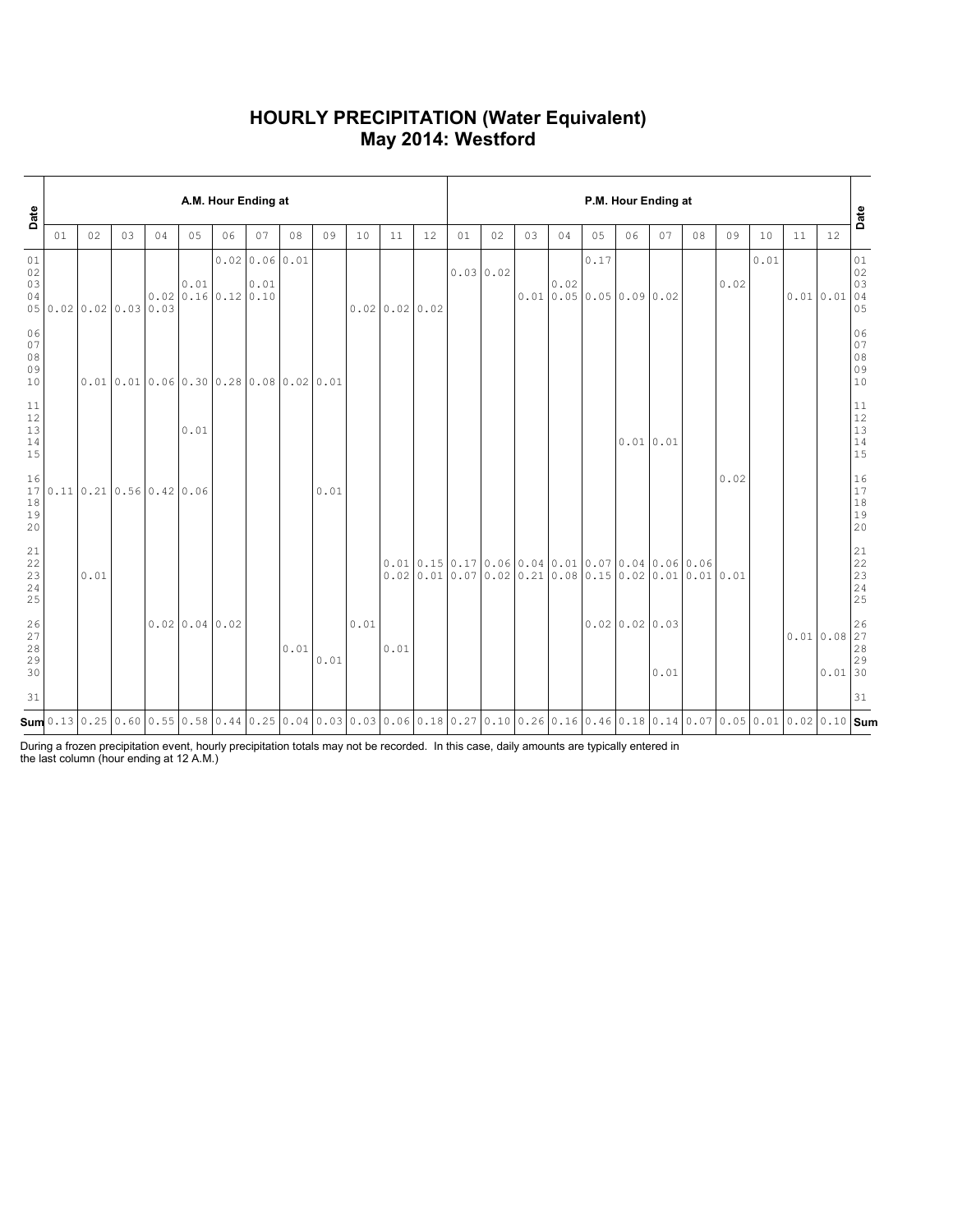### **HOURLY PRECIPITATION (Water Equivalent) May 2014: Westford**

| Date                                                              |                        |      |    |                                                |      | A.M. Hour Ending at                                                                                                                                                                                                                                                                                     |                        |      |      |      |                  |    | P.M. Hour Ending at |    |    |      |                                                                                                       |                            |      |    |      |      |    |                       |                                                           |  |
|-------------------------------------------------------------------|------------------------|------|----|------------------------------------------------|------|---------------------------------------------------------------------------------------------------------------------------------------------------------------------------------------------------------------------------------------------------------------------------------------------------------|------------------------|------|------|------|------------------|----|---------------------|----|----|------|-------------------------------------------------------------------------------------------------------|----------------------------|------|----|------|------|----|-----------------------|-----------------------------------------------------------|--|
|                                                                   | 01                     | 02   | 03 | 04                                             | 05   | 06                                                                                                                                                                                                                                                                                                      | 07                     | 08   | 09   | 10   | 11               | 12 | 01                  | 02 | 03 | 04   | 05                                                                                                    | 06                         | 07   | 08 | 09   | 10   | 11 | 12                    | Date                                                      |  |
| 01<br>02<br>03<br>04                                              | 05 0.02 0.02 0.03 0.03 |      |    |                                                | 0.01 | $0.02$ 0.16 0.12 0.10                                                                                                                                                                                                                                                                                   | 0.0200.0600.01<br>0.01 |      |      |      | $0.02$ 0.02 0.02 |    | 0.0300.02           |    |    | 0.02 | 0.17<br>0.01 0.05 0.05 0.09 0.02                                                                      |                            |      |    | 0.02 | 0.01 |    | 0.010.01              | 01<br>02<br>03<br>04<br>05                                |  |
| 06<br>07<br>08<br>09<br>10                                        |                        |      |    |                                                |      | $0.01$   0.01   0.06   0.30   0.28   0.08   0.02   0.01                                                                                                                                                                                                                                                 |                        |      |      |      |                  |    |                     |    |    |      |                                                                                                       |                            |      |    |      |      |    |                       | 06<br>07<br>08<br>09<br>10                                |  |
| $11\,$<br>$12$<br>13<br>14<br>15                                  |                        |      |    |                                                | 0.01 |                                                                                                                                                                                                                                                                                                         |                        |      |      |      |                  |    |                     |    |    |      |                                                                                                       | $0.01$ 0.01                |      |    |      |      |    |                       | 11<br>$\begin{array}{c} 12 \\ 13 \end{array}$<br>14<br>15 |  |
| 16<br>17<br>18<br>19<br>20                                        |                        |      |    | $0.11 \mid 0.21 \mid 0.56 \mid 0.42 \mid 0.06$ |      |                                                                                                                                                                                                                                                                                                         |                        |      | 0.01 |      |                  |    |                     |    |    |      |                                                                                                       |                            |      |    | 0.02 |      |    |                       | 16<br>17<br>$1\,8$<br>19<br>20                            |  |
| $\begin{smallmatrix} 21\\ 22 \end{smallmatrix}$<br>23<br>24<br>25 |                        | 0.01 |    |                                                |      |                                                                                                                                                                                                                                                                                                         |                        |      |      |      |                  |    |                     |    |    |      | $0.01$ 0.15 0.17 0.06 0.04 0.01 0.07 0.04 0.06 0.06<br>$0.020.010.070.020.210.080.150.020.010.010.01$ |                            |      |    |      |      |    |                       | 21<br>$\frac{22}{23}$<br>24<br>25                         |  |
| 26<br>27<br>$28$<br>29<br>30                                      |                        |      |    |                                                |      | $0.02$ 0.04 0.02                                                                                                                                                                                                                                                                                        |                        | 0.01 | 0.01 | 0.01 | 0.01             |    |                     |    |    |      |                                                                                                       | $0.02 \mid 0.02 \mid 0.03$ | 0.01 |    |      |      |    | 0.010.08<br>$0.01$ 30 | 26<br>27<br>28<br>29                                      |  |
| 31                                                                |                        |      |    |                                                |      |                                                                                                                                                                                                                                                                                                         |                        |      |      |      |                  |    |                     |    |    |      |                                                                                                       |                            |      |    |      |      |    |                       | 31                                                        |  |
|                                                                   |                        |      |    |                                                |      | $\mathsf{Sum}$ 0.13 $\mid$ 0.25 $\mid$ 0.60 $\mid$ 0.55 $\mid$ 0.68 $\mid$ 0.44 $\mid$ 0.25 $\mid$ 0.04 $\mid$ 0.03 $\mid$ 0.03 $\mid$ 0.03 $\mid$ 0.06 $\mid$ 0.18 $\mid$ 0.27 $\mid$ 0.10 $\mid$ 0.26 $\mid$ 0.16 $\mid$ 0.46 $\mid$ 0.18 $\mid$ 0.14 $\mid$ 0.07 $\mid$ 0.05 $\mid$ 0.01 $\mid$ 0.02 |                        |      |      |      |                  |    |                     |    |    |      |                                                                                                       |                            |      |    |      |      |    |                       |                                                           |  |

During a frozen precipitation event, hourly precipitation totals may not be recorded. In this case, daily amounts are typically entered in the last column (hour ending at 12 A.M.)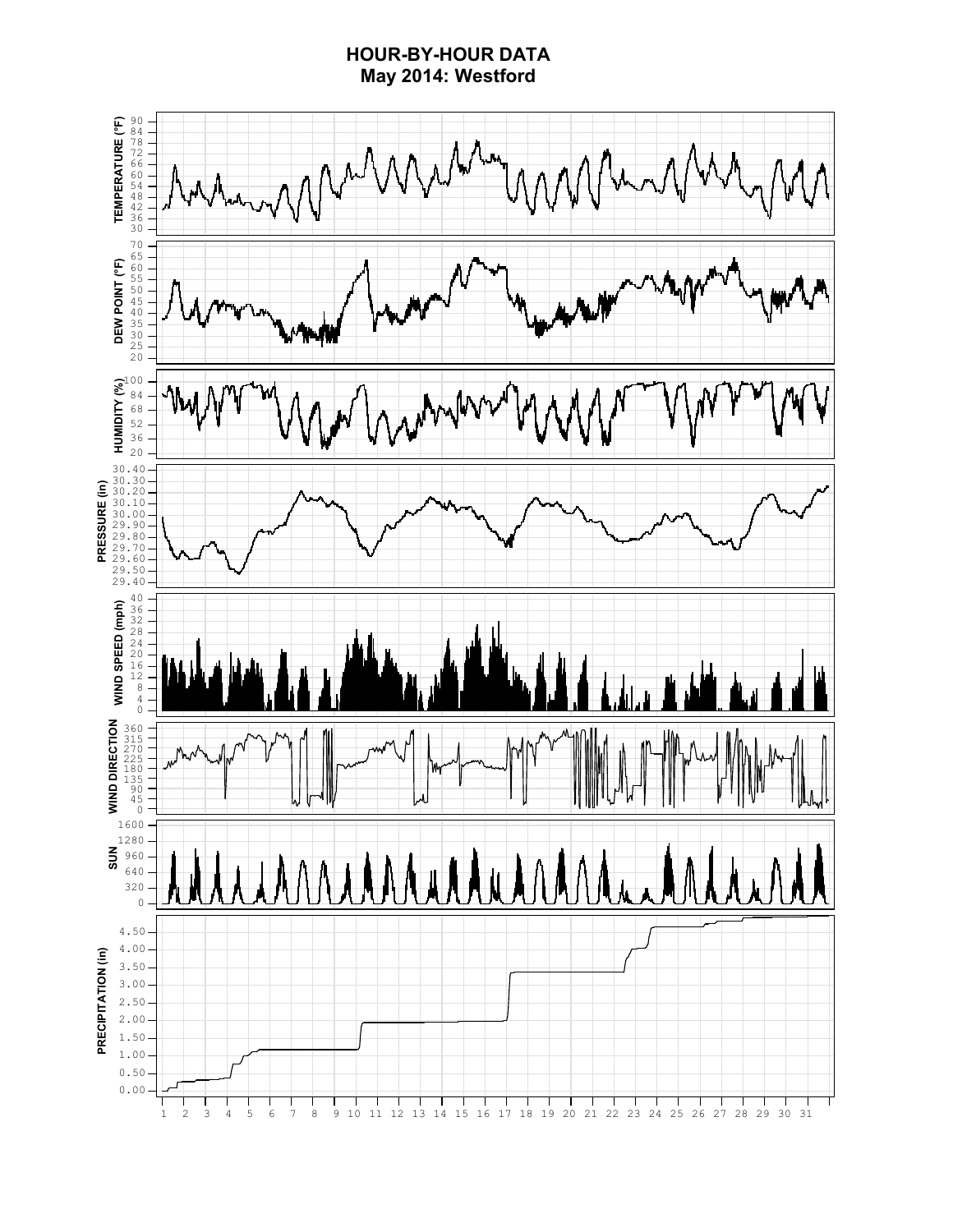### **HOUR-BY-HOUR DATA May 2014: Westford**